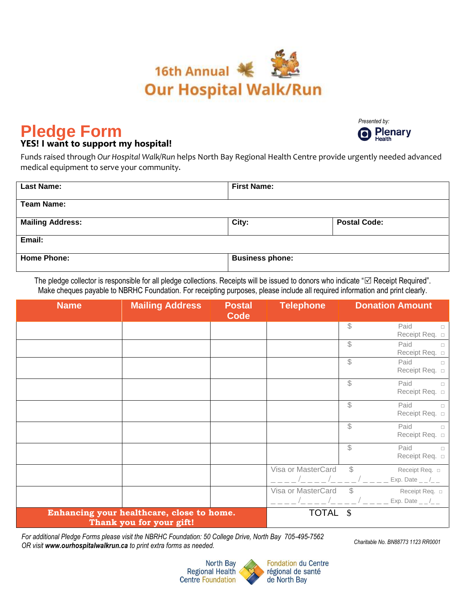

## **YES! I want to support my hospital! Pledge Form**



## Funds raised through *Our Hospital Walk/Run* helps North Bay Regional Health Centre provide urgently needed advanced medical equipment to serve your community.

| <b>Last Name:</b>       | <b>First Name:</b>     |                     |  |  |  |  |  |
|-------------------------|------------------------|---------------------|--|--|--|--|--|
| <b>Team Name:</b>       |                        |                     |  |  |  |  |  |
| <b>Mailing Address:</b> | City:                  | <b>Postal Code:</b> |  |  |  |  |  |
| Email:                  |                        |                     |  |  |  |  |  |
| <b>Home Phone:</b>      | <b>Business phone:</b> |                     |  |  |  |  |  |

The pledge collector is responsible for all pledge collections. Receipts will be issued to donors who indicate " $\boxtimes$  Receipt Required". Make cheques payable to NBRHC Foundation. For receipting purposes, please include all required information and print clearly.

| <b>Name</b>                                                           | <b>Mailing Address</b> | <b>Postal</b><br><b>Code</b> | <b>Telephone</b>   | <b>Donation Amount</b> |                                                       |
|-----------------------------------------------------------------------|------------------------|------------------------------|--------------------|------------------------|-------------------------------------------------------|
|                                                                       |                        |                              |                    | \$                     | Paid<br>$\Box$<br>Receipt Req. D                      |
|                                                                       |                        |                              |                    | $\mathbb S$            | Paid<br>$\Box$<br>Receipt Req. □                      |
|                                                                       |                        |                              |                    | $\mathcal{S}$          | Paid<br>$\Box$<br>Receipt Req. $\Box$                 |
|                                                                       |                        |                              |                    | $\mathbb S$            | Paid<br>$\Box$<br>Receipt Req. $\Box$                 |
|                                                                       |                        |                              |                    | $\mathcal{S}$          | Paid<br>$\Box$<br>Receipt Req. D                      |
|                                                                       |                        |                              |                    | $\mathbb S$            | Paid<br>$\Box$<br>Receipt Req. $\Box$                 |
|                                                                       |                        |                              |                    | $\mathcal{S}$          | Paid<br>$\Box$<br>Receipt Req. □                      |
|                                                                       |                        |                              | Visa or MasterCard | $\mathcal{L}$          | Receipt Req. D<br>Exp. Date $_{--}/_{--}$             |
|                                                                       |                        |                              | Visa or MasterCard | $\mathcal{S}$          | Receipt Req. $\Box$<br>Exp. Date $_{-}$ $_{-}$ $_{-}$ |
| Enhancing your healthcare, close to home.<br>Thank you for your gift! |                        | TOTAL \$                     |                    |                        |                                                       |

*For additional Pledge Forms please visit the NBRHC Foundation: 50 College Drive, North Bay 705-495-7562 OR visit www.ourhospitalwalkrun.ca to print extra forms as needed. Charitable No. BN88773 1123 RR0001*